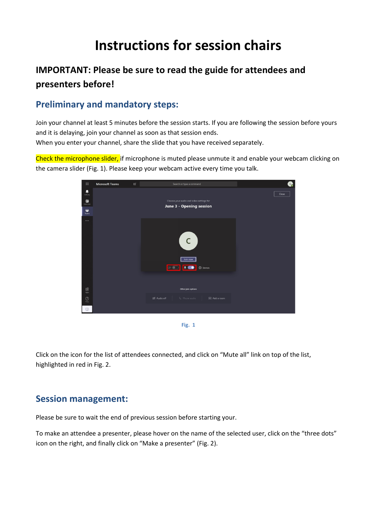## **Instructions for session chairs**

## **IMPORTANT: Please be sure to read the guide for attendees and presenters before!**

## **Preliminary and mandatory steps:**

Join your channel at least 5 minutes before the session starts. If you are following the session before yours and it is delaying, join your channel as soon as that session ends. When you enter your channel, share the slide that you have received separately.

Check the microphone slider, if microphone is muted please unmute it and enable your webcam clicking on the camera slider (Fig. 1). Please keep your webcam active every time you talk.



**Fig. 1**

Click on the icon for the list of attendees connected, and click on "Mute all" link on top of the list, highlighted in red in Fig. 2.

## **Session management:**

Please be sure to wait the end of previous session before starting your.

To make an attendee a presenter, please hover on the name of the selected user, click on the "three dots" icon on the right, and finally click on "Make a presenter" (Fig. 2).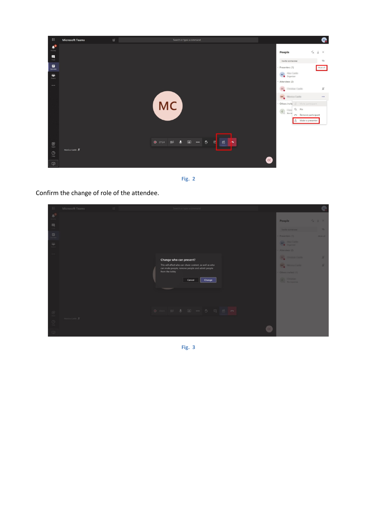



Confirm the change of role of the attendee.

| H.                                            | Microsoft Teams | $\mathbb{Z}$ |                                                                                                           | Search or type a command |        |        |  |                                         | $\omega$       |
|-----------------------------------------------|-----------------|--------------|-----------------------------------------------------------------------------------------------------------|--------------------------|--------|--------|--|-----------------------------------------|----------------|
| $\Phi^0$                                      |                 |              |                                                                                                           |                          |        |        |  | People                                  | $x \pm x$      |
| 日                                             |                 |              |                                                                                                           |                          |        |        |  | Invite someone                          | $\circledcirc$ |
| 自                                             |                 |              |                                                                                                           |                          |        |        |  | - Presenters (1)                        | Mute all       |
| $\tilde{u}^{\prime\prime}_{\rm B}$            |                 |              |                                                                                                           |                          |        |        |  | AC Organizer                            |                |
| 1.111                                         |                 |              |                                                                                                           |                          |        |        |  | - Attendees (2)                         |                |
|                                               |                 |              | Change who can present?                                                                                   |                          |        |        |  | <b>CC<sub>o</sub></b> Elementary Easter | $\mathscr{L}$  |
|                                               |                 |              | This will affect who can share content, as well as who<br>can mute people, remove people and admit people |                          |        |        |  | MC Montant                              | $\mathscr{L}$  |
|                                               |                 |              | from the lobby                                                                                            |                          |        |        |  | - Others invited (1)                    |                |
|                                               |                 |              |                                                                                                           |                          | Cancel | Change |  | C <sub>O</sub> No response              |                |
|                                               |                 |              |                                                                                                           |                          |        |        |  |                                         |                |
|                                               |                 |              |                                                                                                           |                          |        |        |  |                                         |                |
|                                               |                 |              |                                                                                                           |                          |        |        |  |                                         |                |
| $\underset{\mathrm{A}\mathrm{pos}}{\boxplus}$ |                 |              | ○ 28:43 頭 ● 同 … ● 同 图 ●                                                                                   |                          |        |        |  |                                         |                |
| $_{\odot}$                                    | Monica Castle & |              |                                                                                                           |                          |        |        |  |                                         |                |
|                                               |                 |              |                                                                                                           |                          |        |        |  |                                         |                |
| 中                                             |                 |              |                                                                                                           |                          |        |        |  |                                         |                |

**Fig. 3**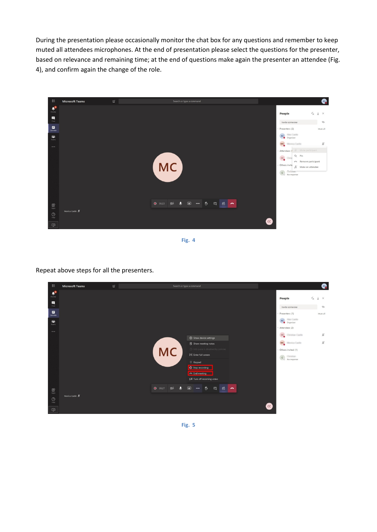During the presentation please occasionally monitor the chat box for any questions and remember to keep muted all attendees microphones. At the end of presentation please select the questions for the presenter, based on relevance and remaining time; at the end of questions make again the presenter an attendee (Fig. 4), and confirm again the change of the role.



**Fig. 4**

Repeat above steps for all the presenters.

| 曲                           | <b>Microsoft Teams</b>         | $\mathcal C$ | Search or type a command |                               |                                     |                             |     |  |  |                         |                                        |                               | AC |
|-----------------------------|--------------------------------|--------------|--------------------------|-------------------------------|-------------------------------------|-----------------------------|-----|--|--|-------------------------|----------------------------------------|-------------------------------|----|
| $\mathbf{L}^2$<br>Activity  |                                |              |                          |                               |                                     |                             |     |  |  |                         | People                                 | $\mathsf{X} \perp \mathsf{X}$ |    |
| $\blacksquare$<br>Chat      |                                |              |                          |                               |                                     |                             |     |  |  |                         | Invite someone                         | $\circledcirc$                |    |
| 自<br>Calendar               |                                |              |                          |                               |                                     |                             |     |  |  |                         | - Presenters (1)                       | Mute all                      |    |
| iĝi.                        |                                |              |                          |                               |                                     |                             |     |  |  |                         | AC Organizer<br><b>Haw Carlos</b>      |                               |    |
| Teams                       |                                |              |                          |                               |                                     |                             |     |  |  |                         | - Attendees (2)                        |                               |    |
| $\cdots$                    |                                |              |                          |                               |                                     | Show device settings        |     |  |  |                         | cc<br><b><i>Electrical Castles</i></b> | ¥                             |    |
|                             |                                |              |                          |                               |                                     | <b>同</b> Show meeting notes |     |  |  |                         | <b>MC</b><br><b>Monta Carls</b>        | $\mathcal{L}$                 |    |
|                             |                                |              |                          |                               | 1 Info pane is disabled by policies |                             |     |  |  |                         | - Others invited (1)                   |                               |    |
|                             | <b>MC</b><br>Enter full screen |              |                          |                               |                                     |                             |     |  |  |                         | $\epsilon$ No response                 |                               |    |
|                             |                                |              |                          |                               | E Keypad                            |                             |     |  |  |                         |                                        |                               |    |
|                             |                                |              |                          |                               | Stop recording                      |                             |     |  |  |                         |                                        |                               |    |
|                             |                                |              |                          |                               | <b>End meeting</b>                  |                             |     |  |  |                         |                                        |                               |    |
|                             |                                |              |                          |                               |                                     | Ø Turn off incoming video   |     |  |  |                         |                                        |                               |    |
| $\bigoplus_{\mathrm{Apps}}$ |                                |              | 9 38:27                  | $\mathcal{L}$<br>$\mathbf{0}$ | $\sqrt{2}$<br>$\cdots$              | $^{\circ}$<br>耳             | 8 ~ |  |  |                         |                                        |                               |    |
| $\bigodot_{\mathsf{Heip}}$  | Monica Castle 多                |              |                          |                               |                                     |                             |     |  |  |                         |                                        |                               |    |
| 中                           |                                |              |                          |                               |                                     |                             |     |  |  | $\overline{\mathbf{c}}$ |                                        |                               |    |

**Fig. 5**